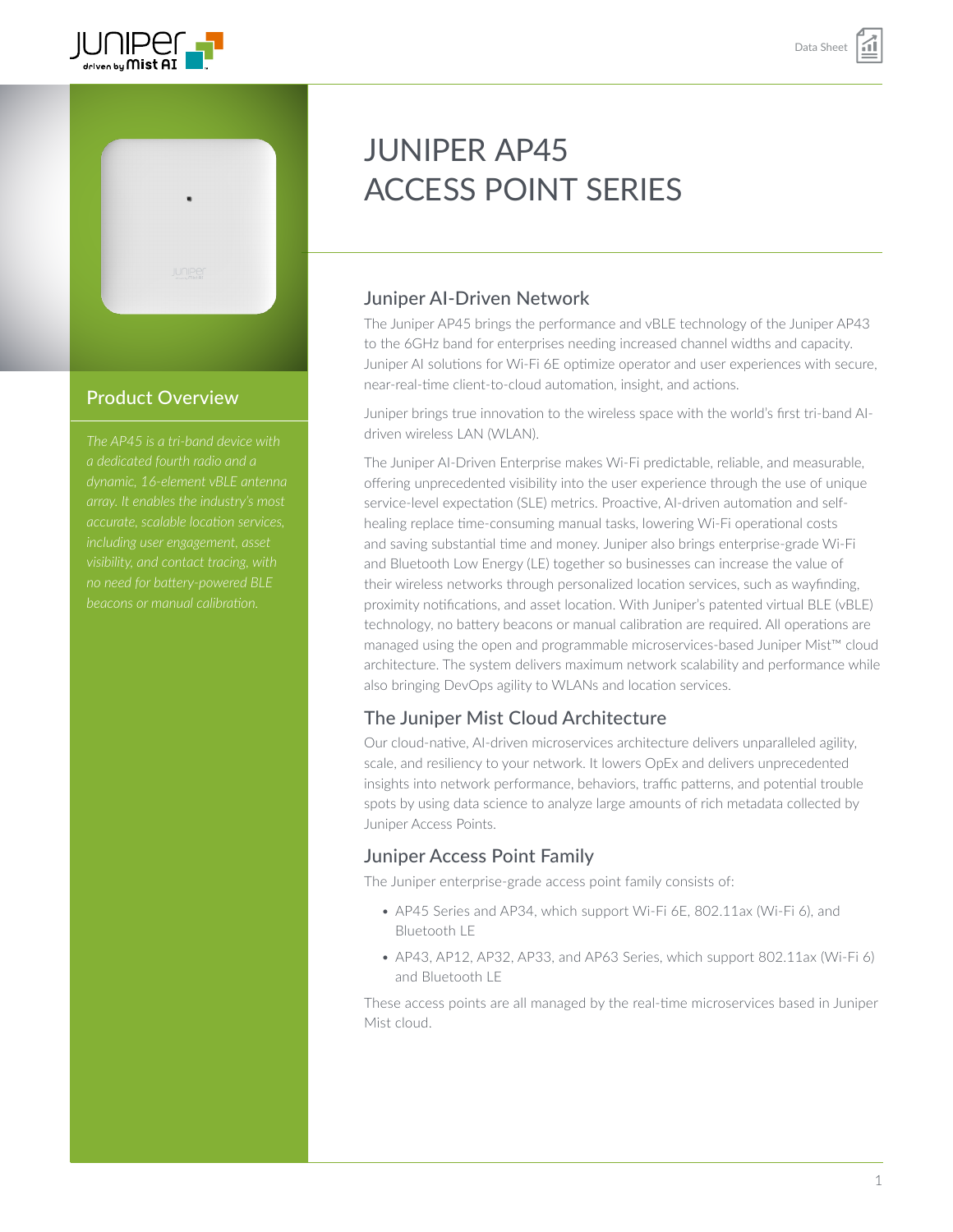



### Product Overview

*The AP45 is a tri-band device with a dedicated fourth radio and a dynamic, 16-element vBLE antenna accurate, scalable location services, including user engagement, asset* 

# JUNIPER AP45 ACCESS POINT SERIES

# Juniper AI-Driven Network

The Juniper AP45 brings the performance and vBLE technology of the Juniper AP43 to the 6GHz band for enterprises needing increased channel widths and capacity. Juniper AI solutions for Wi-Fi 6E optimize operator and user experiences with secure, near-real-time client-to-cloud automation, insight, and actions. 

Juniper brings true innovation to the wireless space with the world's first tri-band AIdriven wireless LAN (WLAN).

The Juniper AI-Driven Enterprise makes Wi-Fi predictable, reliable, and measurable, offering unprecedented visibility into the user experience through the use of unique service-level expectation (SLE) metrics. Proactive, AI-driven automation and selfhealing replace time-consuming manual tasks, lowering Wi-Fi operational costs and saving substantial time and money. Juniper also brings enterprise-grade Wi-Fi and Bluetooth Low Energy (LE) together so businesses can increase the value of their wireless networks through personalized location services, such as wayfinding, proximity notifications, and asset location. With Juniper's patented virtual BLE (vBLE) technology, no battery beacons or manual calibration are required. All operations are managed using the open and programmable microservices-based Juniper Mist™ cloud architecture. The system delivers maximum network scalability and performance while also bringing DevOps agility to WLANs and location services.

### The Juniper Mist Cloud Architecture

Our cloud-native, AI-driven microservices architecture delivers unparalleled agility, scale, and resiliency to your network. It lowers OpEx and delivers unprecedented insights into network performance, behaviors, traffic patterns, and potential trouble spots by using data science to analyze large amounts of rich metadata collected by Juniper Access Points.

### Juniper Access Point Family

The Juniper enterprise-grade access point family consists of:

- AP45 Series and AP34, which support Wi-Fi 6E, 802.11ax (Wi-Fi 6), and Bluetooth LE
- AP43, AP12, AP32, AP33, and AP63 Series, which support 802.11ax (Wi-Fi 6) and Bluetooth LE

These access points are all managed by the real-time microservices based in Juniper Mist cloud.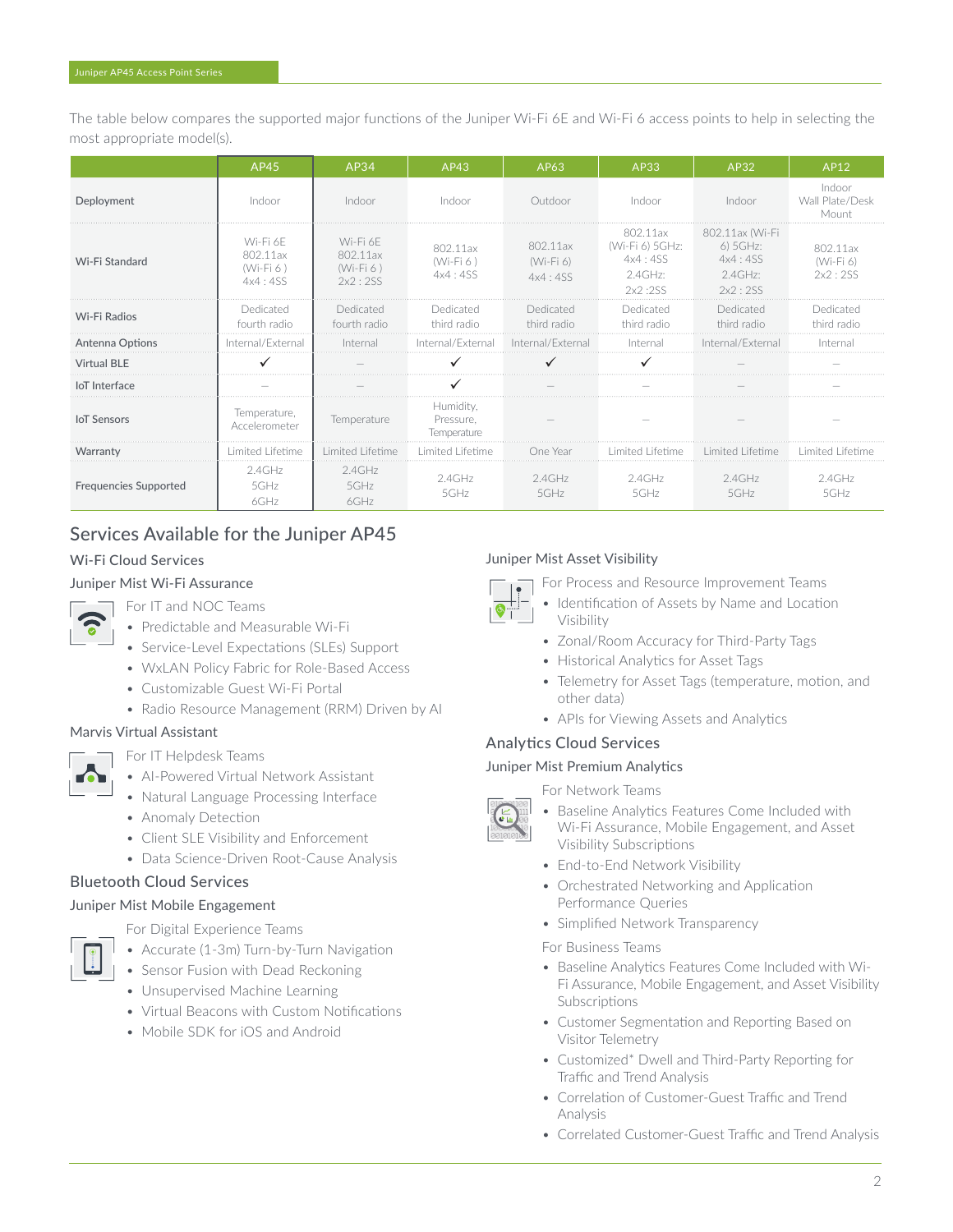The table below compares the supported major functions of the Juniper Wi-Fi 6E and Wi-Fi 6 access points to help in selecting the most appropriate model(s).

|                              | AP45                                           | AP34                                           | AP43                                  | AP63                               | AP33                                                            | AP32                                                            | AP12                               |
|------------------------------|------------------------------------------------|------------------------------------------------|---------------------------------------|------------------------------------|-----------------------------------------------------------------|-----------------------------------------------------------------|------------------------------------|
| Deployment                   | Indoor                                         | Indoor                                         | Indoor                                | Outdoor                            | Indoor                                                          | Indoor                                                          | Indoor<br>Wall Plate/Desk<br>Mount |
| Wi-Fi Standard               | Wi-Fi 6F<br>802.11ax<br>$(Wi-Fi 6)$<br>4x4:4SS | Wi-Fi 6F<br>802.11ax<br>$(Wi-Fi 6)$<br>2x2:2SS | 802.11ax<br>$(Wi-Fi6)$<br>4x4:4SS     | 802.11ax<br>$(Wi-Fi 6)$<br>4x4:4SS | 802.11ax<br>(Wi-Fi 6) 5GHz:<br>4x4:4SS<br>$2.4$ GHz:<br>2x2:2SS | 802.11ax (Wi-Fi<br>6) 5GHz:<br>4x4:4SS<br>$2.4$ GHz:<br>2x2:2SS | 802.11ax<br>(Wi-Fi 6)<br>2x2:2SS   |
| Wi-Fi Radios                 | Dedicated<br>fourth radio                      | Dedicated<br>fourth radio                      | Dedicated<br>third radio              | Dedicated<br>third radio           | Dedicated<br>third radio                                        | Dedicated<br>third radio                                        | Dedicated<br>third radio           |
| Antenna Options              | Internal/External                              | Internal                                       | Internal/External                     | Internal/External                  | Internal                                                        | Internal/External                                               | Interna                            |
| <b>Virtual BLE</b>           |                                                |                                                |                                       |                                    |                                                                 |                                                                 |                                    |
| loT Interface                |                                                |                                                |                                       |                                    |                                                                 |                                                                 |                                    |
| <b>IoT</b> Sensors           | Temperature,<br>Accelerometer                  | Temperature                                    | Humidity.<br>Pressure.<br>Temperature |                                    |                                                                 |                                                                 |                                    |
| Warranty                     | Limited Lifetime                               | Limited Lifetime                               | Limited Lifetime                      | One Year                           | Limited Lifetime                                                | Limited Lifetime                                                | Limited Lifetime                   |
| <b>Frequencies Supported</b> | $2.4$ GHz<br>5GHz<br>$6$ GHz                   | $2.4$ GHz<br>$5$ GHz<br>$6$ GHz                | $2.4$ GHz<br>$5$ GHz                  | $2.4$ GHz<br>$5$ GHz               | $2.4$ GHz<br>$5$ GHz                                            | $2.4$ GHz<br>5GHz                                               | $2.4$ GHz<br>$5$ GHz               |

# Services Available for the Juniper AP45

#### Wi-Fi Cloud Services

#### Juniper Mist Wi-Fi Assurance



- For IT and NOC Teams
- Predictable and Measurable Wi-Fi
- Service-Level Expectations (SLEs) Support
- WxLAN Policy Fabric for Role-Based Access
- Customizable Guest Wi-Fi Portal
- Radio Resource Management (RRM) Driven by AI

#### Marvis Virtual Assistant



- For IT Helpdesk Teams
- AI-Powered Virtual Network Assistant
- Natural Language Processing Interface
- Anomaly Detection
- Client SLE Visibility and Enforcement
- Data Science-Driven Root-Cause Analysis

#### Bluetooth Cloud Services

#### Juniper Mist Mobile Engagement



- For Digital Experience Teams
- Accurate (1-3m) Turn-by-Turn Navigation
- Sensor Fusion with Dead Reckoning
- Unsupervised Machine Learning
- Virtual Beacons with Custom Notifications
- Mobile SDK for iOS and Android

#### Juniper Mist Asset Visibility

For Process and Resource Improvement Teams

- Visibility
- Zonal/Room Accuracy for Third-Party Tags
- Historical Analytics for Asset Tags
- Telemetry for Asset Tags (temperature, motion, and other data)

Identification of Assets by Name and Location

• APIs for Viewing Assets and Analytics

#### Analytics Cloud Services

Juniper Mist Premium Analytics

For Network Teams

- Baseline Analytics Features Come Included with Wi-Fi Assurance, Mobile Engagement, and Asset Visibility Subscriptions
- End-to-End Network Visibility
- Orchestrated Networking and Application Performance Queries
- Simplified Network Transparency
- For Business Teams
- Baseline Analytics Features Come Included with Wi-Fi Assurance, Mobile Engagement, and Asset Visibility Subscriptions
- Customer Segmentation and Reporting Based on Visitor Telemetry
- Customized\* Dwell and Third-Party Reporting for Traffic and Trend Analysis
- Correlation of Customer-Guest Traffic and Trend Analysis
- Correlated Customer-Guest Traffic and Trend Analysis



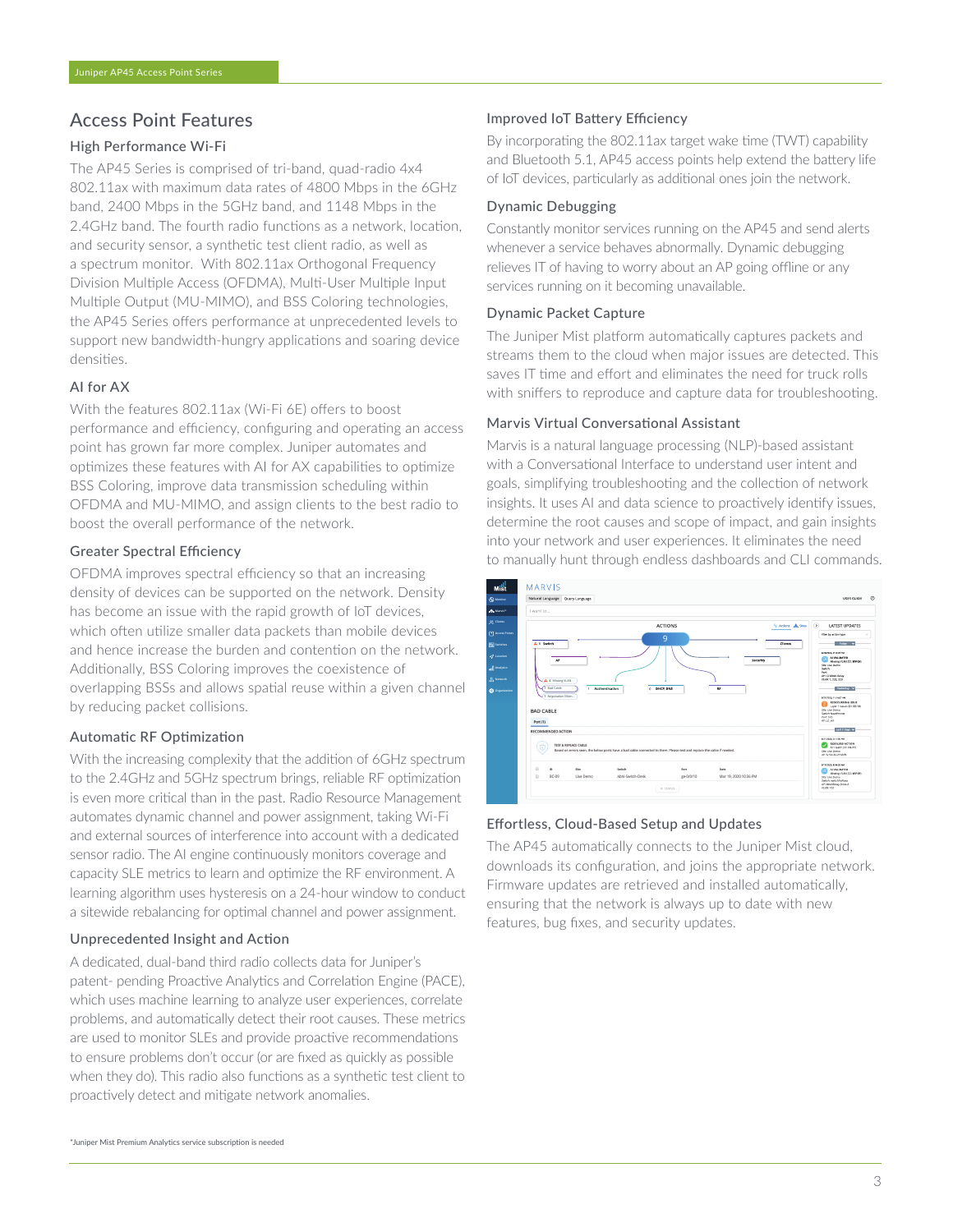### Access Point Features

#### High Performance Wi-Fi

The AP45 Series is comprised of tri-band, quad-radio 4x4 802.11ax with maximum data rates of 4800 Mbps in the 6GHz band, 2400 Mbps in the 5GHz band, and 1148 Mbps in the 2.4GHz band. The fourth radio functions as a network, location, and security sensor, a synthetic test client radio, as well as a spectrum monitor. With 802.11ax Orthogonal Frequency Division Multiple Access (OFDMA), Multi-User Multiple Input Multiple Output (MU-MIMO), and BSS Coloring technologies, the AP45 Series offers performance at unprecedented levels to support new bandwidth-hungry applications and soaring device densities.

#### AI for AX

With the features 802.11ax (Wi-Fi 6E) offers to boost performance and efficiency, configuring and operating an access point has grown far more complex. Juniper automates and optimizes these features with AI for AX capabilities to optimize BSS Coloring, improve data transmission scheduling within OFDMA and MU-MIMO, and assign clients to the best radio to boost the overall performance of the network.

#### Greater Spectral Efficiency

OFDMA improves spectral efficiency so that an increasing density of devices can be supported on the network. Density has become an issue with the rapid growth of IoT devices, which often utilize smaller data packets than mobile devices and hence increase the burden and contention on the network. Additionally, BSS Coloring improves the coexistence of overlapping BSSs and allows spatial reuse within a given channel by reducing packet collisions.

#### Automatic RF Optimization

With the increasing complexity that the addition of 6GHz spectrum to the 2.4GHz and 5GHz spectrum brings, reliable RF optimization is even more critical than in the past. Radio Resource Management automates dynamic channel and power assignment, taking Wi-Fi and external sources of interference into account with a dedicated sensor radio. The AI engine continuously monitors coverage and capacity SLE metrics to learn and optimize the RF environment. A learning algorithm uses hysteresis on a 24-hour window to conduct a sitewide rebalancing for optimal channel and power assignment.

#### Unprecedented Insight and Action

A dedicated, dual-band third radio collects data for Juniper's patent- pending Proactive Analytics and Correlation Engine (PACE), which uses machine learning to analyze user experiences, correlate problems, and automatically detect their root causes. These metrics are used to monitor SLEs and provide proactive recommendations to ensure problems don't occur (or are fixed as quickly as possible when they do). This radio also functions as a synthetic test client to proactively detect and mitigate network anomalies.

#### Improved IoT Battery Efficiency

By incorporating the 802.11ax target wake time (TWT) capability and Bluetooth 5.1, AP45 access points help extend the battery life of IoT devices, particularly as additional ones join the network.

#### Dynamic Debugging

Constantly monitor services running on the AP45 and send alerts whenever a service behaves abnormally. Dynamic debugging relieves IT of having to worry about an AP going offline or any services running on it becoming unavailable.

#### Dynamic Packet Capture

The Juniper Mist platform automatically captures packets and streams them to the cloud when major issues are detected. This saves IT time and effort and eliminates the need for truck rolls with sniffers to reproduce and capture data for troubleshooting.

#### Marvis Virtual Conversational Assistant

Marvis is a natural language processing (NLP)-based assistant with a Conversational Interface to understand user intent and goals, simplifying troubleshooting and the collection of network insights. It uses AI and data science to proactively identify issues, determine the root causes and scope of impact, and gain insights into your network and user experiences. It eliminates the need to manually hunt through endless dashboards and CLI commands.



#### Effortless, Cloud-Based Setup and Updates

The AP45 automatically connects to the Juniper Mist cloud, downloads its configuration, and joins the appropriate network. Firmware updates are retrieved and installed automatically, ensuring that the network is always up to date with new features, bug fixes, and security updates.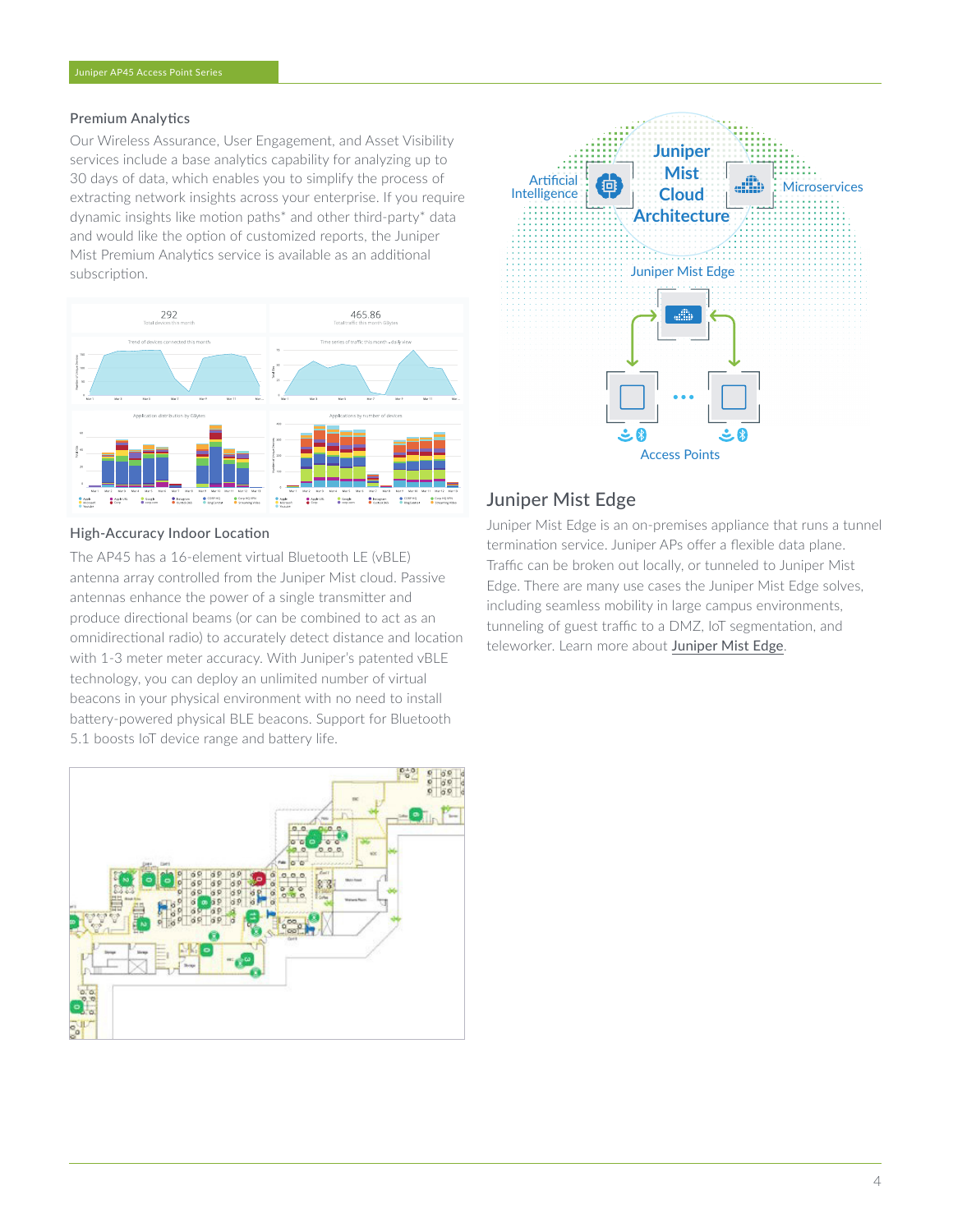#### Premium Analytics

Our Wireless Assurance, User Engagement, and Asset Visibility services include a base analytics capability for analyzing up to 30 days of data, which enables you to simplify the process of extracting network insights across your enterprise. If you require dynamic insights like motion paths\* and other third-party\* data and would like the option of customized reports, the Juniper Mist Premium Analytics service is available as an additional subscription.



#### High-Accuracy Indoor Location

The AP45 has a 16-element virtual Bluetooth LE (vBLE) antenna array controlled from the Juniper Mist cloud. Passive antennas enhance the power of a single transmitter and produce directional beams (or can be combined to act as an omnidirectional radio) to accurately detect distance and location with 1-3 meter meter accuracy. With Juniper's patented vBLE technology, you can deploy an unlimited number of virtual beacons in your physical environment with no need to install battery-powered physical BLE beacons. Support for Bluetooth 5.1 boosts IoT device range and battery life.





#### Juniper Mist Edge

Juniper Mist Edge is an on-premises appliance that runs a tunnel termination service. Juniper APs offer a flexible data plane. Traffic can be broken out locally, or tunneled to Juniper Mist Edge. There are many use cases the Juniper Mist Edge solves, including seamless mobility in large campus environments, tunneling of guest traffic to a DMZ, IoT segmentation, and teleworker. Learn more about [Juniper Mist Edge](https://www.juniper.net/us/en/products/access-points/edge.html).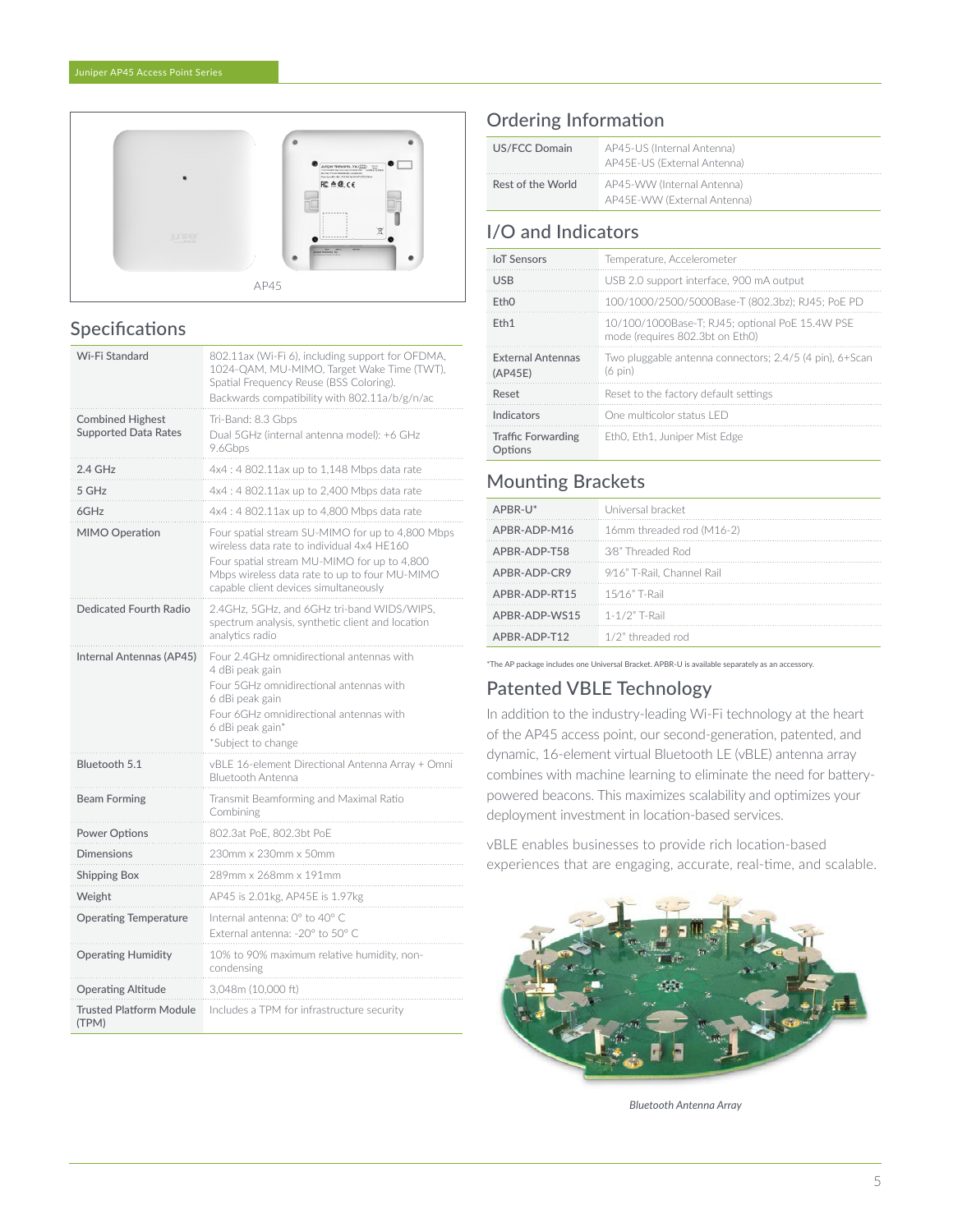

# Specifications

| Wi-Fi Standard                          | 802.11ax (Wi-Fi 6), including support for OFDMA,<br>1024-QAM, MU-MIMO, Target Wake Time (TWT),<br>Spatial Frequency Reuse (BSS Coloring).<br>Backwards compatibility with 802.11a/b/g/n/ac                                              |
|-----------------------------------------|-----------------------------------------------------------------------------------------------------------------------------------------------------------------------------------------------------------------------------------------|
| <b>Combined Highest</b>                 | Tri-Band: 8.3 Gbps                                                                                                                                                                                                                      |
| <b>Supported Data Rates</b>             | Dual 5GHz (internal antenna model): +6 GHz<br>9.6Gbps                                                                                                                                                                                   |
| 2.4 GHz                                 | 4x4: 4802.11ax up to 1,148 Mbps data rate                                                                                                                                                                                               |
| 5 GHz                                   | 4x4: 4802.11ax up to 2,400 Mbps data rate                                                                                                                                                                                               |
| 6GHz                                    | 4x4 : 4 802.11ax up to 4,800 Mbps data rate                                                                                                                                                                                             |
| MIMO Operation                          | Four spatial stream SU-MIMO for up to 4,800 Mbps<br>wireless data rate to individual 4x4 HE160<br>Four spatial stream MU-MIMO for up to 4,800<br>Mbps wireless data rate to up to four MU-MIMO<br>capable client devices simultaneously |
| Dedicated Fourth Radio                  | 2.4GHz, 5GHz, and 6GHz tri-band WIDS/WIPS,<br>spectrum analysis, synthetic client and location<br>analytics radio                                                                                                                       |
| Internal Antennas (AP45)                | Four 2.4GHz omnidirectional antennas with<br>4 dBi peak gain<br>Four 5GHz omnidirectional antennas with<br>6 dBi peak gain<br>Four 6GHz omnidirectional antennas with<br>6 dBi peak gain*<br>*Subject to change                         |
| Bluetooth 5.1                           | vBLE 16-element Directional Antenna Array + Omni<br><b>Bluetooth Antenna</b>                                                                                                                                                            |
| <b>Beam Forming</b>                     | Transmit Beamforming and Maximal Ratio<br>Combining                                                                                                                                                                                     |
| <b>Power Options</b>                    | 802.3at PoE, 802.3bt PoE                                                                                                                                                                                                                |
| <b>Dimensions</b>                       | 230mm x 230mm x 50mm                                                                                                                                                                                                                    |
| <b>Shipping Box</b>                     | 289mm x 268mm x 191mm                                                                                                                                                                                                                   |
| Weight                                  | AP45 is 2.01kg, AP45E is 1.97kg                                                                                                                                                                                                         |
| <b>Operating Temperature</b>            | Internal antenna: 0° to 40° C<br>External antenna: - 20° to 50° C                                                                                                                                                                       |
| <b>Operating Humidity</b>               | 10% to 90% maximum relative humidity, non-<br>condensing                                                                                                                                                                                |
| <b>Operating Altitude</b>               | 3,048m (10,000 ft)                                                                                                                                                                                                                      |
| <b>Trusted Platform Module</b><br>(TPM) | Includes a TPM for infrastructure security                                                                                                                                                                                              |

### Ordering Information

| US/FCC Domain     | AP45-US (Internal Antenna)<br>AP45E-US (External Antenna) |  |
|-------------------|-----------------------------------------------------------|--|
| Rest of the World | AP45-WW (Internal Antenna)<br>AP45E-WW (External Antenna) |  |

# I/O and Indicators

| <b>IoT</b> Sensors                   | Temperature, Accelerometer                                                         |
|--------------------------------------|------------------------------------------------------------------------------------|
| <b>USB</b>                           | USB 2.0 support interface, 900 mA output                                           |
| FthO                                 | 100/1000/2500/5000Base-T (802.3bz): RJ45: PoE PD                                   |
| F <sub>th</sub> 1                    | 10/100/1000Base-T; RJ45; optional PoE 15.4W PSE<br>mode (requires 802.3bt on Eth0) |
| <b>External Antennas</b><br>(AP45E)  | Two pluggable antenna connectors; 2.4/5 (4 pin), 6+Scan<br>(6 pin)                 |
| Reset                                | Reset to the factory default settings                                              |
| Indicators                           | One multicolor status LED                                                          |
| <b>Traffic Forwarding</b><br>Options | EthO, Eth1, Juniper Mist Edge                                                      |

# Mounting Brackets

| APBR-U*       | Universal bracket          |
|---------------|----------------------------|
| APBR-ADP-M16  | 16mm threaded rod (M16-2)  |
| APBR-ADP-T58  | 3/8" Threaded Rod          |
| APBR-ADP-CR9  | 9/16" T-Rail, Channel Rail |
| APBR-ADP-RT15 | 15/16" T-Rail              |
| APBR-ADP-WS15 | $1 - 1/2"$ T-Rail          |
| APBR-ADP-T12  | 1/2" threaded rod          |
|               |                            |

\*The AP package includes one Universal Bracket. APBR-U is available separately as an accessory.

# Patented VBLE Technology

In addition to the industry-leading Wi-Fi technology at the heart of the AP45 access point, our second-generation, patented, and dynamic, 16-element virtual Bluetooth LE (vBLE) antenna array combines with machine learning to eliminate the need for batterypowered beacons. This maximizes scalability and optimizes your deployment investment in location-based services.

vBLE enables businesses to provide rich location-based experiences that are engaging, accurate, real-time, and scalable.



*Bluetooth Antenna Array*